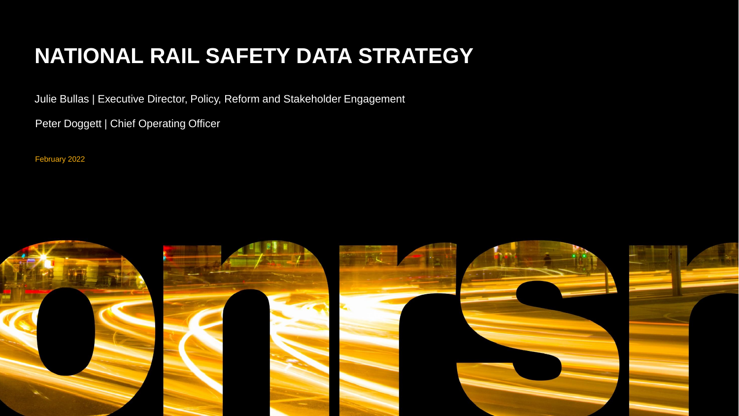## **NATIONAL RAIL SAFETY DATA STRATEGY**

Julie Bullas | Executive Director, Policy, Reform and Stakeholder Engagement

Peter Doggett | Chief Operating Officer

February 2022

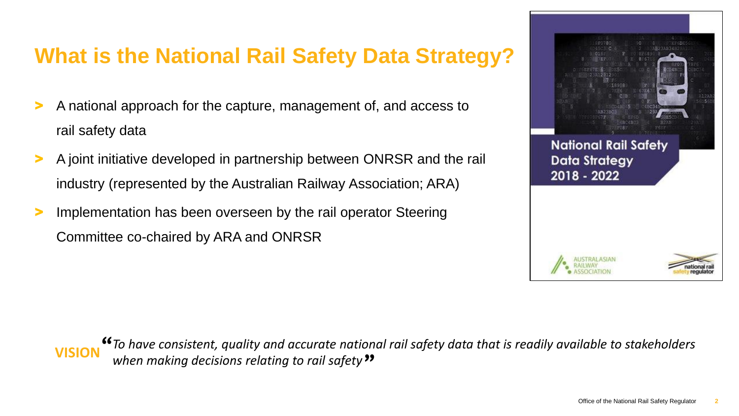#### **What is the National Rail Safety Data Strategy?**

- > A national approach for the capture, management of, and access to rail safety data
- > A joint initiative developed in partnership between ONRSR and the rail industry (represented by the Australian Railway Association; ARA)
- Implementation has been overseen by the rail operator Steering Committee co-chaired by ARA and ONRSR





*To have consistent, quality and accurate national rail safety data that is readily available to stakeholders*  " **WISION** *When making decisions relating to rail safety*<sup>22</sup>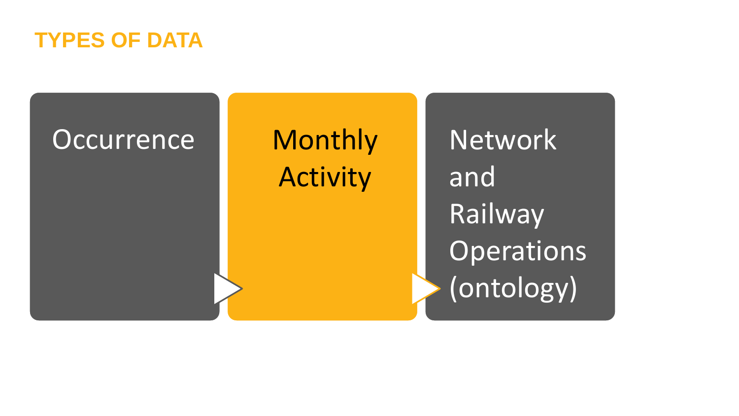

# Occurrence Monthly

# Activity

**Network** and Railway Operations (ontology)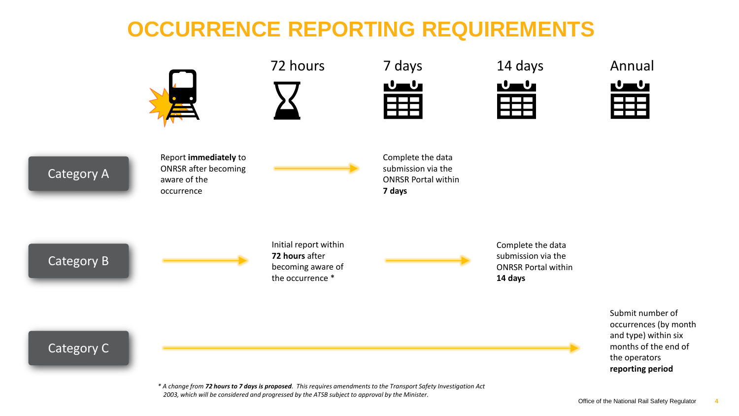#### **OCCURRENCE REPORTING REQUIREMENTS**





|   |     | uays |  |
|---|-----|------|--|
| ┓ | J y | ٠    |  |
|   |     |      |  |
|   |     |      |  |
|   |     |      |  |

72 hours 7 days 14 days



Annual



Category A

Report **immediately** to ONRSR after becoming aware of the occurrence

Complete the data submission via the ONRSR Portal within **7 days**

Category B

Initial report within **72 hours** after becoming aware of the occurrence \*

Complete the data submission via the ONRSR Portal within **14 days**

> Submit number of occurrences (by month and type) within six months of the end of the operators **reporting period**

Category C

*\* A change from 72 hours to 7 days is proposed. This requires amendments to the Transport Safety Investigation Act 2003, which will be considered and progressed by the ATSB subject to approval by the Minister.*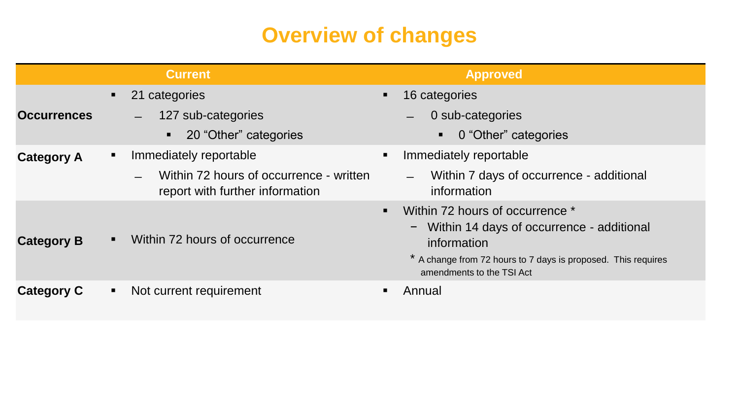#### **Overview of changes**

|                    |                | <b>Current</b>                                                             |                | <b>Approved</b>                                                                                                                                                                             |
|--------------------|----------------|----------------------------------------------------------------------------|----------------|---------------------------------------------------------------------------------------------------------------------------------------------------------------------------------------------|
|                    | $\blacksquare$ | 21 categories                                                              | $\blacksquare$ | 16 categories                                                                                                                                                                               |
| <b>Occurrences</b> |                | 127 sub-categories<br>$\qquad \qquad$                                      |                | 0 sub-categories                                                                                                                                                                            |
|                    |                | 20 "Other" categories                                                      |                | 0 "Other" categories<br>$\blacksquare$                                                                                                                                                      |
| <b>Category A</b>  | $\blacksquare$ | Immediately reportable                                                     |                | Immediately reportable                                                                                                                                                                      |
|                    |                | Within 72 hours of occurrence - written<br>report with further information |                | Within 7 days of occurrence - additional<br>information                                                                                                                                     |
| <b>Category B</b>  | $\blacksquare$ | Within 72 hours of occurrence                                              | $\blacksquare$ | Within 72 hours of occurrence *<br>- Within 14 days of occurrence - additional<br>information<br>* A change from 72 hours to 7 days is proposed. This requires<br>amendments to the TSI Act |
| <b>Category C</b>  | $\blacksquare$ | Not current requirement                                                    |                | Annual                                                                                                                                                                                      |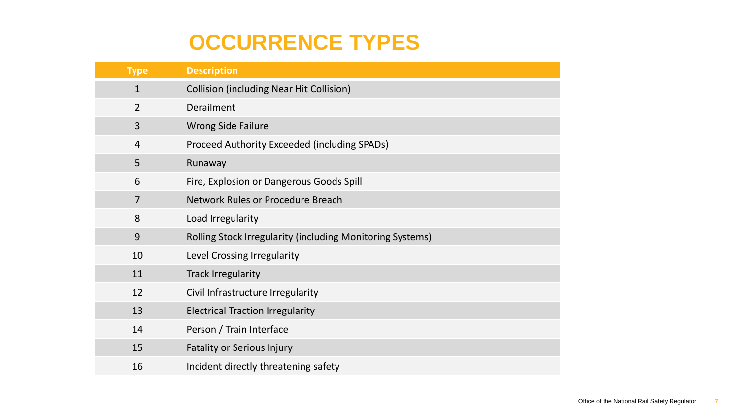#### **OCCURRENCE TYPES**

| <b>Type</b>    | <b>Description</b>                                               |
|----------------|------------------------------------------------------------------|
| $\mathbf{1}$   | <b>Collision (including Near Hit Collision)</b>                  |
| $\overline{2}$ | Derailment                                                       |
| 3              | <b>Wrong Side Failure</b>                                        |
| $\overline{4}$ | Proceed Authority Exceeded (including SPADs)                     |
| 5              | Runaway                                                          |
| 6              | Fire, Explosion or Dangerous Goods Spill                         |
| 7              | <b>Network Rules or Procedure Breach</b>                         |
| 8              | Load Irregularity                                                |
| 9              | <b>Rolling Stock Irregularity (including Monitoring Systems)</b> |
| 10             | Level Crossing Irregularity                                      |
| 11             | <b>Track Irregularity</b>                                        |
| 12             | Civil Infrastructure Irregularity                                |
| 13             | <b>Electrical Traction Irregularity</b>                          |
| 14             | Person / Train Interface                                         |
| 15             | <b>Fatality or Serious Injury</b>                                |
| 16             | Incident directly threatening safety                             |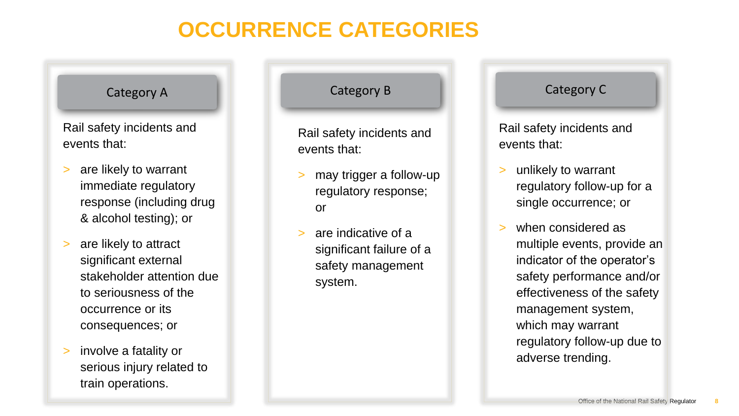## **OCCURRENCE CATEGORIES**

Rail safety incidents and events that:

- > are likely to warrant immediate regulatory response (including drug & alcohol testing); or
- > are likely to attract significant external stakeholder attention due to seriousness of the occurrence or its consequences; or
- > involve a fatality or serious injury related to train operations.

Rail safety incidents and events that:

- > may trigger a follow-up regulatory response; or
- are indicative of a significant failure of a safety management system.

#### Category A Category B Category C Category C

Rail safety incidents and events that:

- > unlikely to warrant regulatory follow-up for a single occurrence; or
- when considered as multiple events, provide an indicator of the operator's safety performance and/or effectiveness of the safety management system, which may warrant regulatory follow-up due to adverse trending.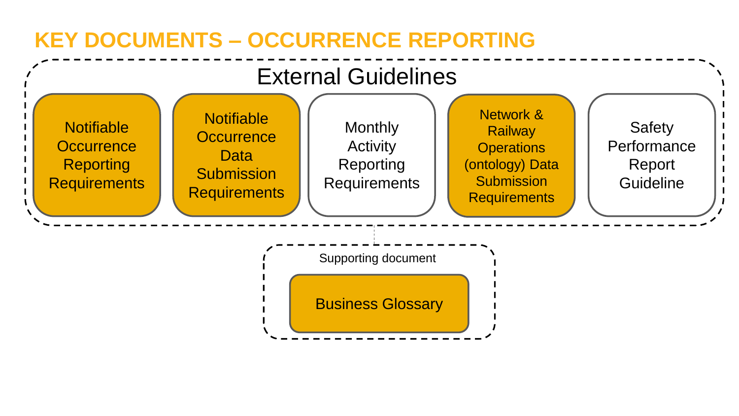## **KEY DOCUMENTS – OCCURRENCE REPORTING**

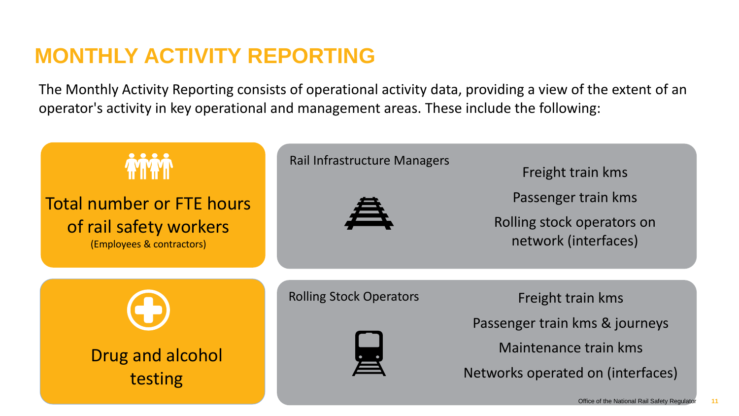#### **MONTHLY ACTIVITY REPORTING**

The Monthly Activity Reporting consists of operational activity data, providing a view of the extent of an operator's activity in key operational and management areas. These include the following:

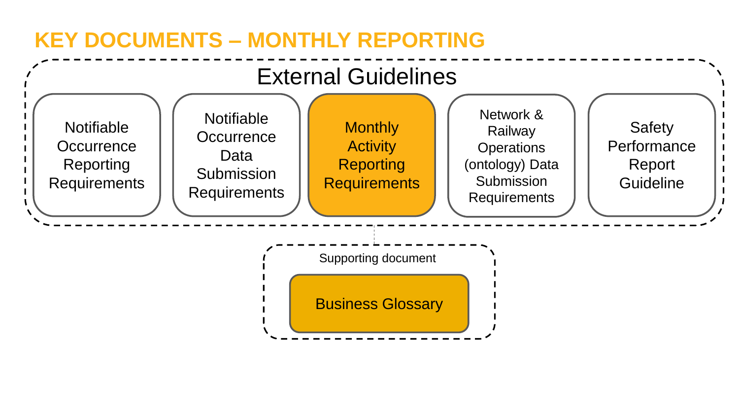#### **KEY DOCUMENTS – MONTHLY REPORTING**

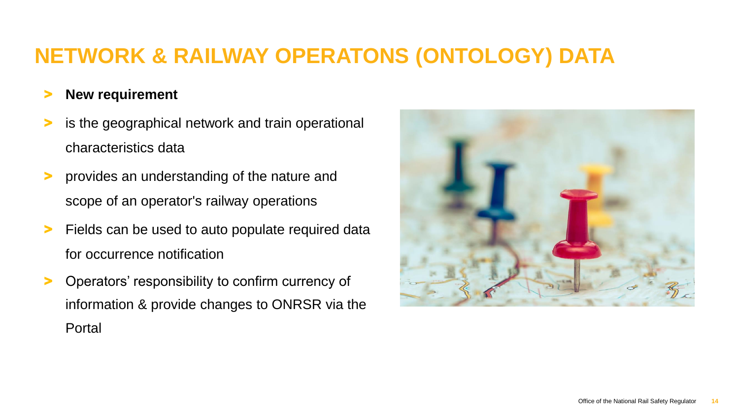#### **NETWORK & RAILWAY OPERATONS (ONTOLOGY) DATA**

#### > **New requirement**

- > is the geographical network and train operational characteristics data
- > provides an understanding of the nature and scope of an operator's railway operations
- > Fields can be used to auto populate required data for occurrence notification
- > Operators' responsibility to confirm currency of information & provide changes to ONRSR via the Portal

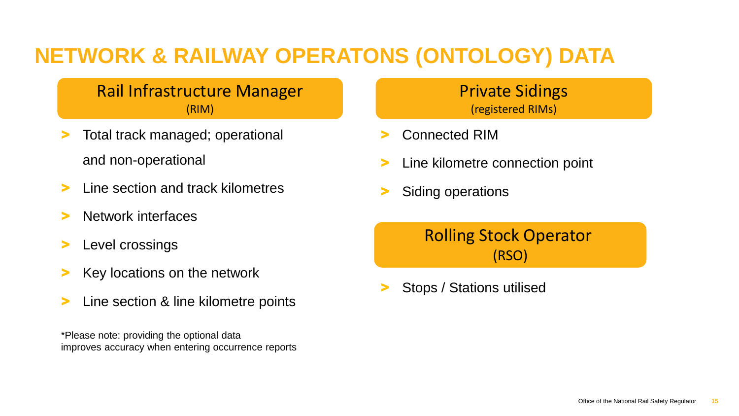### **NETWORK & RAILWAY OPERATONS (ONTOLOGY) DATA**

#### Rail Infrastructure Manager (RIM)

- Total track managed; operational and non-operational
- Line section and track kilometres
- Network interfaces
- Level crossings
- Key locations on the network
- Line section & line kilometre points

\*Please note: providing the optional data improves accuracy when entering occurrence reports Private Sidings (registered RIMs)

- > Connected RIM
- Line kilometre connection point
- Siding operations

Rolling Stock Operator (RSO)

> Stops / Stations utilised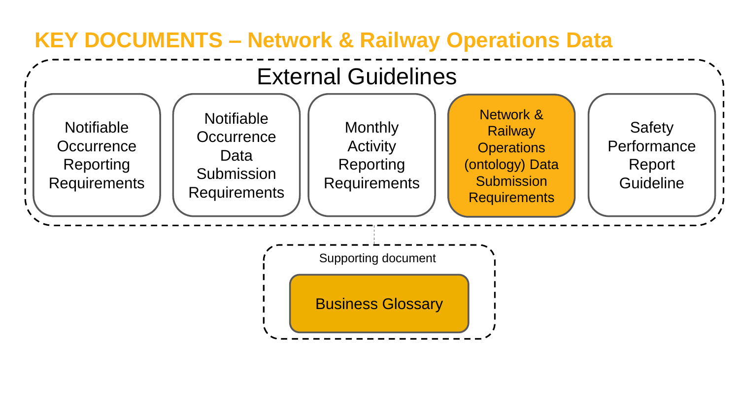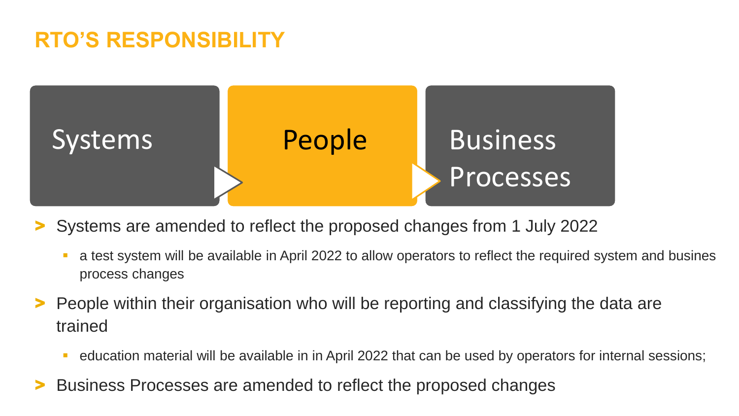#### **RTO'S RESPONSIBILITY**



> Systems are amended to reflect the proposed changes from 1 July 2022

- a test system will be available in April 2022 to allow operators to reflect the required system and busines process changes
- > People within their organisation who will be reporting and classifying the data are trained
	- education material will be available in in April 2022 that can be used by operators for internal sessions;
- > Business Processes are amended to reflect the proposed changes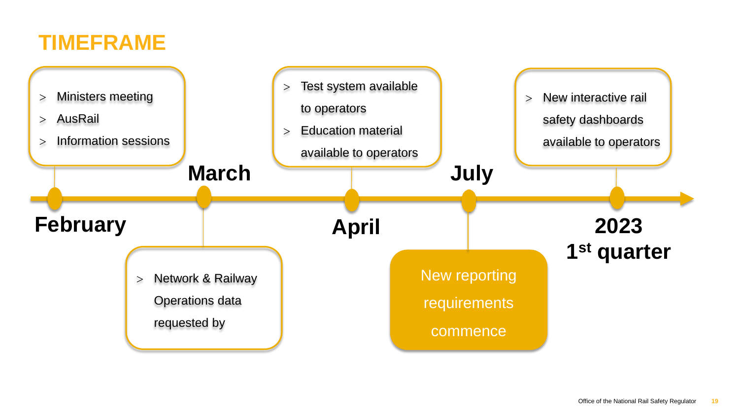#### **TIMEFRAME**

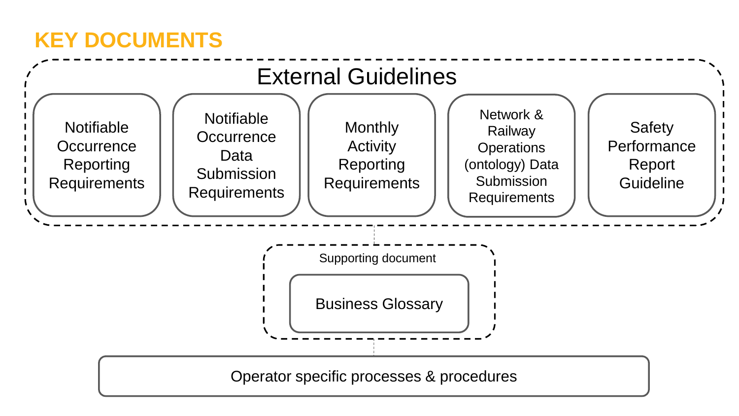#### **KEY DOCUMENTS**